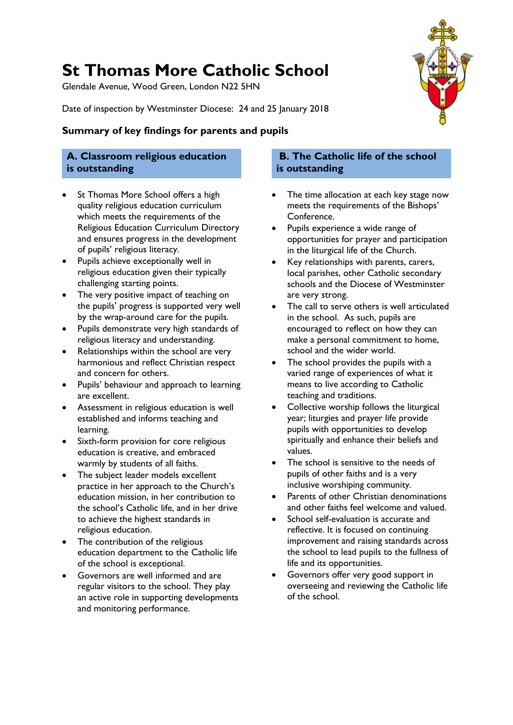# **St Thomas More Catholic School**

Glendale Avenue, Wood Green, London N22 5HN

Date of inspection by Westminster Diocese: 24 and 25 January 2018

### **Summary of key findings for parents and pupils**

### **A. Classroom religious education is outstanding**

- St Thomas More School offers a high quality religious education curriculum which meets the requirements of the Religious Education Curriculum Directory and ensures progress in the development of pupils' religious literacy.
- Pupils achieve exceptionally well in religious education given their typically challenging starting points.
- The very positive impact of teaching on the pupils' progress is supported very well by the wrap-around care for the pupils.
- Pupils demonstrate very high standards of religious literacy and understanding.
- Relationships within the school are very harmonious and reflect Christian respect and concern for others.
- Pupils' behaviour and approach to learning are excellent.
- Assessment in religious education is well established and informs teaching and learning.
- Sixth-form provision for core religious education is creative, and embraced warmly by students of all faiths.
- The subject leader models excellent practice in her approach to the Church's education mission, in her contribution to the school's Catholic life, and in her drive to achieve the highest standards in religious education.
- The contribution of the religious education department to the Catholic life of the school is exceptional.
- Governors are well informed and are regular visitors to the school. They play an active role in supporting developments and monitoring performance.

### **B. The Catholic life of the school is outstanding**

- The time allocation at each key stage now meets the requirements of the Bishops' Conference.
- Pupils experience a wide range of opportunities for prayer and participation in the liturgical life of the Church.
- Key relationships with parents, carers, local parishes, other Catholic secondary schools and the Diocese of Westminster are very strong.
- The call to serve others is well articulated in the school. As such, pupils are encouraged to reflect on how they can make a personal commitment to home, school and the wider world.
- The school provides the pupils with a varied range of experiences of what it means to live according to Catholic teaching and traditions.
- Collective worship follows the liturgical year; liturgies and prayer life provide pupils with opportunities to develop spiritually and enhance their beliefs and values.
- The school is sensitive to the needs of pupils of other faiths and is a very inclusive worshiping community.
- Parents of other Christian denominations and other faiths feel welcome and valued.
- School self-evaluation is accurate and reflective. It is focused on continuing improvement and raising standards across the school to lead pupils to the fullness of life and its opportunities.
- Governors offer very good support in overseeing and reviewing the Catholic life of the school.

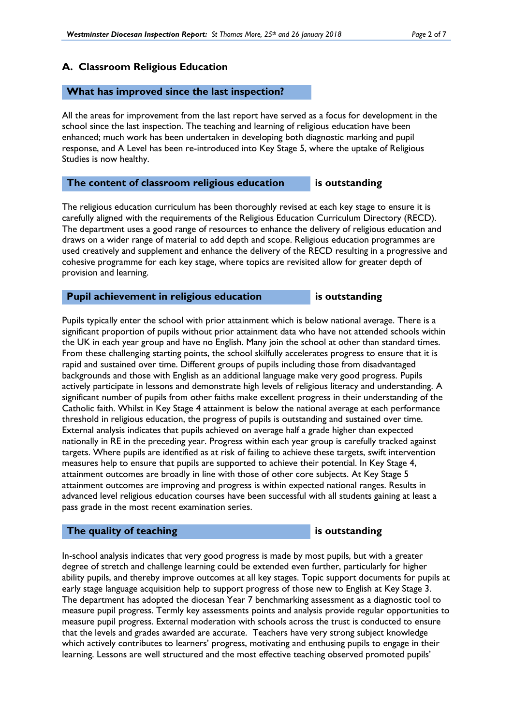### **A. Classroom Religious Education**

### **What has improved since the last inspection?**

All the areas for improvement from the last report have served as a focus for development in the school since the last inspection. The teaching and learning of religious education have been enhanced; much work has been undertaken in developing both diagnostic marking and pupil response, and A Level has been re-introduced into Key Stage 5, where the uptake of Religious Studies is now healthy.

### **The content of classroom religious education is outstanding**

The religious education curriculum has been thoroughly revised at each key stage to ensure it is carefully aligned with the requirements of the Religious Education Curriculum Directory (RECD). The department uses a good range of resources to enhance the delivery of religious education and draws on a wider range of material to add depth and scope. Religious education programmes are used creatively and supplement and enhance the delivery of the RECD resulting in a progressive and cohesive programme for each key stage, where topics are revisited allow for greater depth of provision and learning.

### **Pupil achievement in religious education** is outstanding

Pupils typically enter the school with prior attainment which is below national average. There is a significant proportion of pupils without prior attainment data who have not attended schools within the UK in each year group and have no English. Many join the school at other than standard times. From these challenging starting points, the school skilfully accelerates progress to ensure that it is rapid and sustained over time. Different groups of pupils including those from disadvantaged backgrounds and those with English as an additional language make very good progress. Pupils actively participate in lessons and demonstrate high levels of religious literacy and understanding. A significant number of pupils from other faiths make excellent progress in their understanding of the Catholic faith. Whilst in Key Stage 4 attainment is below the national average at each performance threshold in religious education, the progress of pupils is outstanding and sustained over time. External analysis indicates that pupils achieved on average half a grade higher than expected nationally in RE in the preceding year. Progress within each year group is carefully tracked against targets. Where pupils are identified as at risk of failing to achieve these targets, swift intervention measures help to ensure that pupils are supported to achieve their potential. In Key Stage 4, attainment outcomes are broadly in line with those of other core subjects. At Key Stage 5 attainment outcomes are improving and progress is within expected national ranges. Results in advanced level religious education courses have been successful with all students gaining at least a pass grade in the most recent examination series.

### **The quality of teaching is outstanding is outstanding**

In-school analysis indicates that very good progress is made by most pupils, but with a greater degree of stretch and challenge learning could be extended even further, particularly for higher ability pupils, and thereby improve outcomes at all key stages. Topic support documents for pupils at early stage language acquisition help to support progress of those new to English at Key Stage 3. The department has adopted the diocesan Year 7 benchmarking assessment as a diagnostic tool to measure pupil progress. Termly key assessments points and analysis provide regular opportunities to measure pupil progress. External moderation with schools across the trust is conducted to ensure that the levels and grades awarded are accurate. Teachers have very strong subject knowledge which actively contributes to learners' progress, motivating and enthusing pupils to engage in their learning. Lessons are well structured and the most effective teaching observed promoted pupils'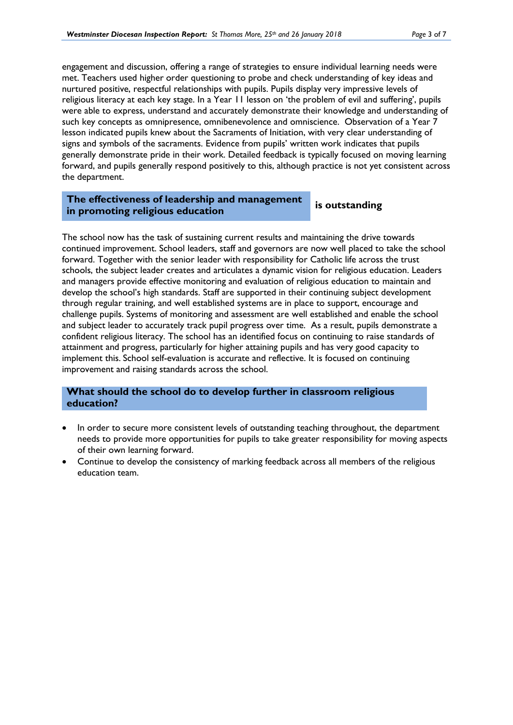engagement and discussion, offering a range of strategies to ensure individual learning needs were met. Teachers used higher order questioning to probe and check understanding of key ideas and nurtured positive, respectful relationships with pupils. Pupils display very impressive levels of religious literacy at each key stage. In a Year 11 lesson on 'the problem of evil and suffering', pupils were able to express, understand and accurately demonstrate their knowledge and understanding of such key concepts as omnipresence, omnibenevolence and omniscience. Observation of a Year 7 lesson indicated pupils knew about the Sacraments of Initiation, with very clear understanding of signs and symbols of the sacraments. Evidence from pupils' written work indicates that pupils generally demonstrate pride in their work. Detailed feedback is typically focused on moving learning forward, and pupils generally respond positively to this, although practice is not yet consistent across the department.

### **The effectiveness of leadership and management in promoting religious education is outstanding**

The school now has the task of sustaining current results and maintaining the drive towards continued improvement. School leaders, staff and governors are now well placed to take the school forward. Together with the senior leader with responsibility for Catholic life across the trust schools, the subject leader creates and articulates a dynamic vision for religious education. Leaders and managers provide effective monitoring and evaluation of religious education to maintain and develop the school's high standards. Staff are supported in their continuing subject development through regular training, and well established systems are in place to support, encourage and challenge pupils. Systems of monitoring and assessment are well established and enable the school and subject leader to accurately track pupil progress over time. As a result, pupils demonstrate a confident religious literacy. The school has an identified focus on continuing to raise standards of attainment and progress, particularly for higher attaining pupils and has very good capacity to implement this. School self-evaluation is accurate and reflective. It is focused on continuing improvement and raising standards across the school.

### **What should the school do to develop further in classroom religious education?**

- In order to secure more consistent levels of outstanding teaching throughout, the department needs to provide more opportunities for pupils to take greater responsibility for moving aspects of their own learning forward.
- Continue to develop the consistency of marking feedback across all members of the religious education team.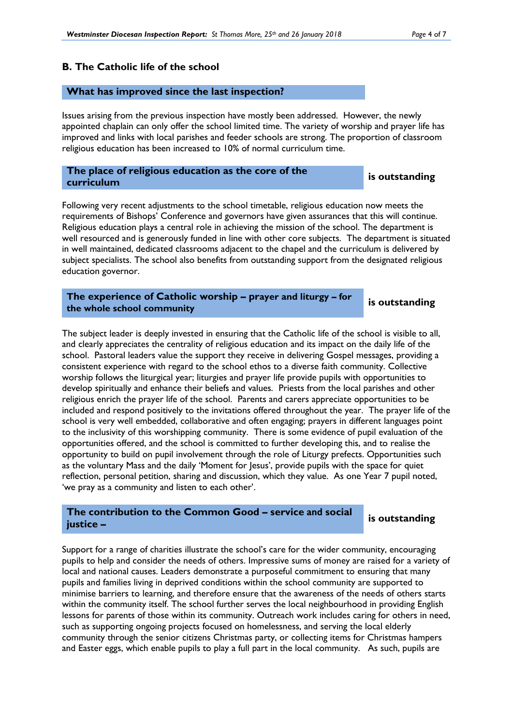### **B. The Catholic life of the school**

### **What has improved since the last inspection?**

Issues arising from the previous inspection have mostly been addressed. However, the newly appointed chaplain can only offer the school limited time. The variety of worship and prayer life has improved and links with local parishes and feeder schools are strong. The proportion of classroom religious education has been increased to 10% of normal curriculum time.

# **The place of religious education as the core of the curriculum is outstanding**

Following very recent adjustments to the school timetable, religious education now meets the requirements of Bishops' Conference and governors have given assurances that this will continue. Religious education plays a central role in achieving the mission of the school. The department is well resourced and is generously funded in line with other core subjects. The department is situated in well maintained, dedicated classrooms adjacent to the chapel and the curriculum is delivered by subject specialists. The school also benefits from outstanding support from the designated religious education governor.

**The experience of Catholic worship – prayer and liturgy – for the experience of Catholic worship – prayer and iiturgy – formulation is outstanding**<br>the whole school community

The subject leader is deeply invested in ensuring that the Catholic life of the school is visible to all, and clearly appreciates the centrality of religious education and its impact on the daily life of the school. Pastoral leaders value the support they receive in delivering Gospel messages, providing a consistent experience with regard to the school ethos to a diverse faith community. Collective worship follows the liturgical year; liturgies and prayer life provide pupils with opportunities to develop spiritually and enhance their beliefs and values. Priests from the local parishes and other religious enrich the prayer life of the school. Parents and carers appreciate opportunities to be included and respond positively to the invitations offered throughout the year. The prayer life of the school is very well embedded, collaborative and often engaging; prayers in different languages point to the inclusivity of this worshipping community. There is some evidence of pupil evaluation of the opportunities offered, and the school is committed to further developing this, and to realise the opportunity to build on pupil involvement through the role of Liturgy prefects. Opportunities such as the voluntary Mass and the daily 'Moment for Jesus', provide pupils with the space for quiet reflection, personal petition, sharing and discussion, which they value. As one Year 7 pupil noted, 'we pray as a community and listen to each other'.

### **The contribution to the Common Good – service and social justice –**

**is outstanding**

Support for a range of charities illustrate the school's care for the wider community, encouraging pupils to help and consider the needs of others. Impressive sums of money are raised for a variety of local and national causes. Leaders demonstrate a purposeful commitment to ensuring that many pupils and families living in deprived conditions within the school community are supported to minimise barriers to learning, and therefore ensure that the awareness of the needs of others starts within the community itself. The school further serves the local neighbourhood in providing English lessons for parents of those within its community. Outreach work includes caring for others in need, such as supporting ongoing projects focused on homelessness, and serving the local elderly community through the senior citizens Christmas party, or collecting items for Christmas hampers and Easter eggs, which enable pupils to play a full part in the local community. As such, pupils are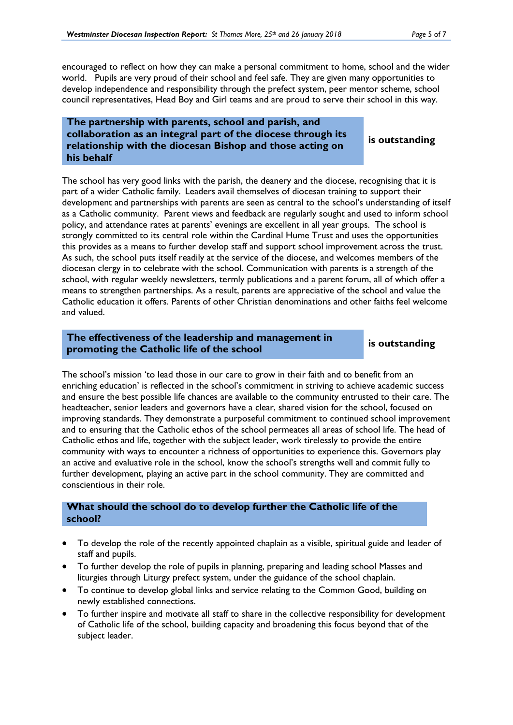encouraged to reflect on how they can make a personal commitment to home, school and the wider world. Pupils are very proud of their school and feel safe. They are given many opportunities to develop independence and responsibility through the prefect system, peer mentor scheme, school council representatives, Head Boy and Girl teams and are proud to serve their school in this way.

### **The partnership with parents, school and parish, and collaboration as an integral part of the diocese through its relationship with the diocesan Bishop and those acting on his behalf**

### **is outstanding**

The school has very good links with the parish, the deanery and the diocese, recognising that it is part of a wider Catholic family. Leaders avail themselves of diocesan training to support their development and partnerships with parents are seen as central to the school's understanding of itself as a Catholic community. Parent views and feedback are regularly sought and used to inform school policy, and attendance rates at parents' evenings are excellent in all year groups. The school is strongly committed to its central role within the Cardinal Hume Trust and uses the opportunities this provides as a means to further develop staff and support school improvement across the trust. As such, the school puts itself readily at the service of the diocese, and welcomes members of the diocesan clergy in to celebrate with the school. Communication with parents is a strength of the school, with regular weekly newsletters, termly publications and a parent forum, all of which offer a means to strengthen partnerships. As a result, parents are appreciative of the school and value the Catholic education it offers. Parents of other Christian denominations and other faiths feel welcome and valued.

### **The effectiveness of the leadership and management in promoting the Catholic life of the school is outstanding**

The school's mission 'to lead those in our care to grow in their faith and to benefit from an enriching education' is reflected in the school's commitment in striving to achieve academic success and ensure the best possible life chances are available to the community entrusted to their care. The headteacher, senior leaders and governors have a clear, shared vision for the school, focused on improving standards. They demonstrate a purposeful commitment to continued school improvement and to ensuring that the Catholic ethos of the school permeates all areas of school life. The head of Catholic ethos and life, together with the subject leader, work tirelessly to provide the entire community with ways to encounter a richness of opportunities to experience this. Governors play an active and evaluative role in the school, know the school's strengths well and commit fully to further development, playing an active part in the school community. They are committed and conscientious in their role.

### **What should the school do to develop further the Catholic life of the school?**

- To develop the role of the recently appointed chaplain as a visible, spiritual guide and leader of staff and pupils.
- To further develop the role of pupils in planning, preparing and leading school Masses and liturgies through Liturgy prefect system, under the guidance of the school chaplain.
- To continue to develop global links and service relating to the Common Good, building on newly established connections.
- To further inspire and motivate all staff to share in the collective responsibility for development of Catholic life of the school, building capacity and broadening this focus beyond that of the subject leader.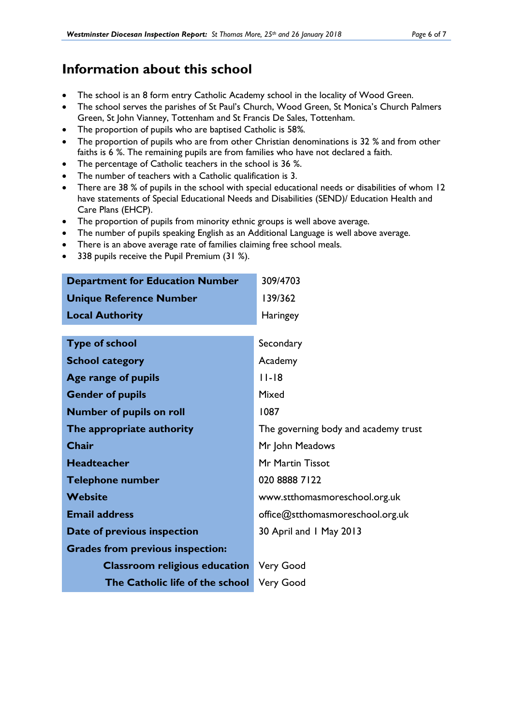# **Information about this school**

- The school is an 8 form entry Catholic Academy school in the locality of Wood Green.
- The school serves the parishes of St Paul's Church, Wood Green, St Monica's Church Palmers Green, St John Vianney, Tottenham and St Francis De Sales, Tottenham.
- The proportion of pupils who are baptised Catholic is 58*%.*
- The proportion of pupils who are from other Christian denominations is 32 *%* and from other faiths is 6 *%*. The remaining pupils are from families who have not declared a faith.
- The percentage of Catholic teachers in the school is 36 *%*.
- The number of teachers with a Catholic qualification is 3.
- There are 38 % of pupils in the school with special educational needs or disabilities of whom 12 have statements of Special Educational Needs and Disabilities (SEND)/ Education Health and Care Plans (EHCP).
- The proportion of pupils from minority ethnic groups is well above average.
- The number of pupils speaking English as an Additional Language is well above average.
- There is an above average rate of families claiming free school meals.
- 338 pupils receive the Pupil Premium (31 %).

| <b>Department for Education Number</b>  | 309/4703                             |  |
|-----------------------------------------|--------------------------------------|--|
| <b>Unique Reference Number</b>          | 139/362                              |  |
| <b>Local Authority</b>                  | <b>Haringey</b>                      |  |
|                                         |                                      |  |
| <b>Type of school</b>                   | Secondary                            |  |
| <b>School category</b>                  | Academy                              |  |
| Age range of pupils                     | $11 - 18$                            |  |
| <b>Gender of pupils</b>                 | Mixed                                |  |
| <b>Number of pupils on roll</b>         | 1087                                 |  |
| The appropriate authority               | The governing body and academy trust |  |
| Chair                                   | Mr John Meadows                      |  |
| <b>Headteacher</b>                      | Mr Martin Tissot                     |  |
| <b>Telephone number</b>                 | 020 8888 7122                        |  |
| <b>Website</b>                          | www.stthomasmoreschool.org.uk        |  |
| <b>Email address</b>                    | office@stthomasmoreschool.org.uk     |  |
| Date of previous inspection             | 30 April and 1 May 2013              |  |
| <b>Grades from previous inspection:</b> |                                      |  |
| <b>Classroom religious education</b>    | <b>Very Good</b>                     |  |
| The Catholic life of the school         | <b>Very Good</b>                     |  |